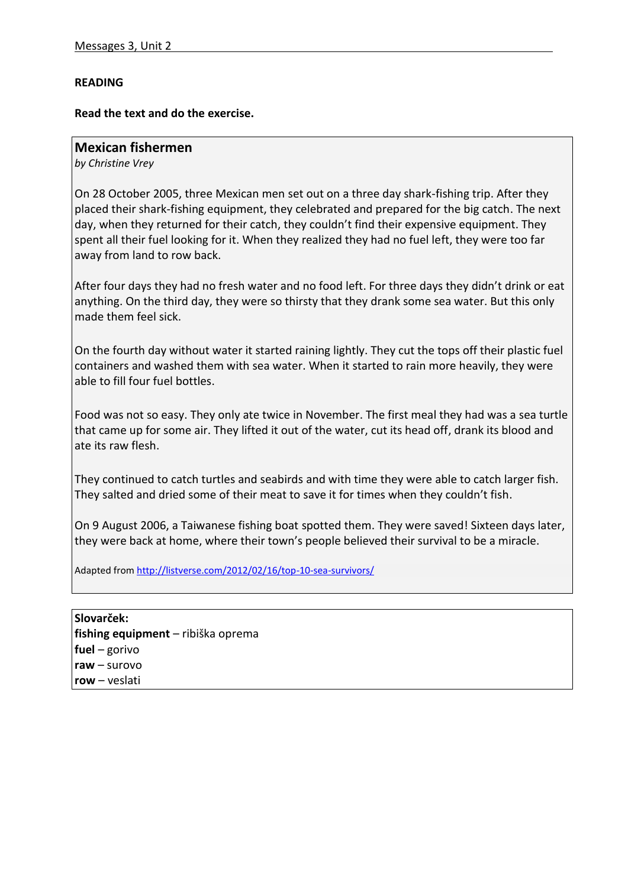## **READING**

## **Read the text and do the exercise.**

## **Mexican fishermen**

*by Christine Vrey*

On 28 October 2005, three Mexican men set out on a three day shark-fishing trip. After they placed their shark-fishing equipment, they celebrated and prepared for the big catch. The next day, when they returned for their catch, they couldn't find their expensive equipment. They spent all their fuel looking for it. When they realized they had no fuel left, they were too far away from land to row back.

After four days they had no fresh water and no food left. For three days they didn't drink or eat anything. On the third day, they were so thirsty that they drank some sea water. But this only made them feel sick.

On the fourth day without water it started raining lightly. They cut the tops off their plastic fuel containers and washed them with sea water. When it started to rain more heavily, they were able to fill four fuel bottles.

Food was not so easy. They only ate twice in November. The first meal they had was a sea turtle that came up for some air. They lifted it out of the water, cut its head off, drank its blood and ate its raw flesh.

They continued to catch turtles and seabirds and with time they were able to catch larger fish. They salted and dried some of their meat to save it for times when they couldn't fish.

On 9 August 2006, a Taiwanese fishing boat spotted them. They were saved! Sixteen days later, they were back at home, where their town's people believed their survival to be a miracle.

Adapted from<http://listverse.com/2012/02/16/top-10-sea-survivors/>

**Slovarček: fishing equipment** – ribiška oprema **fuel** – gorivo **raw** – surovo **row** – veslati